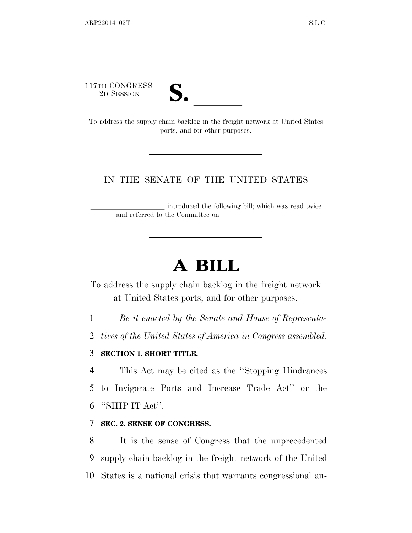117TH CONGRESS



17TH CONGRESS<br>
2D SESSION<br>
To address the supply chain backlog in the freight network at United States ports, and for other purposes.

#### IN THE SENATE OF THE UNITED STATES

introduced the following bill; which was read twice and referred to the Committee on

# **A BILL**

To address the supply chain backlog in the freight network at United States ports, and for other purposes.

1 *Be it enacted by the Senate and House of Representa-*

2 *tives of the United States of America in Congress assembled,*

#### 3 **SECTION 1. SHORT TITLE.**

4 This Act may be cited as the ''Stopping Hindrances 5 to Invigorate Ports and Increase Trade Act'' or the 6 ''SHIP IT Act''.

#### 7 **SEC. 2. SENSE OF CONGRESS.**

8 It is the sense of Congress that the unprecedented 9 supply chain backlog in the freight network of the United 10 States is a national crisis that warrants congressional au-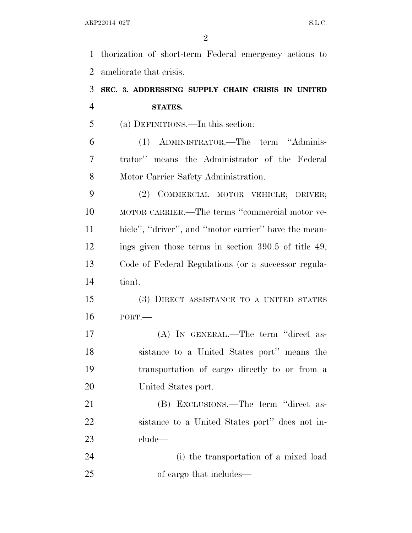thorization of short-term Federal emergency actions to ameliorate that crisis.

### **SEC. 3. ADDRESSING SUPPLY CHAIN CRISIS IN UNITED STATES.**

(a) DEFINITIONS.—In this section:

 (1) ADMINISTRATOR.—The term ''Adminis- trator'' means the Administrator of the Federal Motor Carrier Safety Administration.

 (2) COMMERCIAL MOTOR VEHICLE; DRIVER; MOTOR CARRIER.—The terms ''commercial motor ve- hicle'', ''driver'', and ''motor carrier'' have the mean- ings given those terms in section 390.5 of title 49, Code of Federal Regulations (or a successor regula-tion).

 (3) DIRECT ASSISTANCE TO A UNITED STATES PORT.—

 (A) IN GENERAL.—The term ''direct as- sistance to a United States port'' means the transportation of cargo directly to or from a United States port.

 (B) EXCLUSIONS.—The term ''direct as- sistance to a United States port'' does not in-clude—

 (i) the transportation of a mixed load of cargo that includes—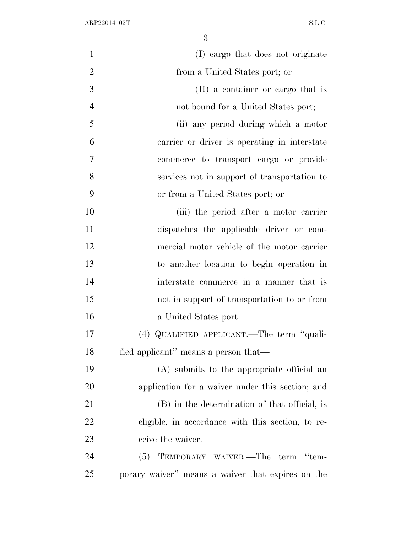| $\mathbf{1}$   | (I) cargo that does not originate                 |
|----------------|---------------------------------------------------|
| $\overline{2}$ | from a United States port; or                     |
| 3              | (II) a container or cargo that is                 |
| $\overline{4}$ | not bound for a United States port;               |
| 5              | (ii) any period during which a motor              |
| 6              | carrier or driver is operating in interstate      |
| $\overline{7}$ | commerce to transport cargo or provide            |
| 8              | services not in support of transportation to      |
| 9              | or from a United States port; or                  |
| 10             | (iii) the period after a motor carrier            |
| 11             | dispatches the applicable driver or com-          |
| 12             | mercial motor vehicle of the motor carrier        |
| 13             | to another location to begin operation in         |
| 14             | interstate commerce in a manner that is           |
| 15             | not in support of transportation to or from       |
| 16             | a United States port.                             |
| 17             | (4) QUALIFIED APPLICANT.—The term "quali-         |
| 18             | fied applicant" means a person that—              |
| 19             | (A) submits to the appropriate official an        |
| 20             | application for a waiver under this section; and  |
| 21             | (B) in the determination of that official, is     |
| 22             | eligible, in accordance with this section, to re- |
| 23             | ceive the waiver.                                 |
| 24             | (5) TEMPORARY WAIVER.—The term "tem-              |
| 25             | porary waiver" means a waiver that expires on the |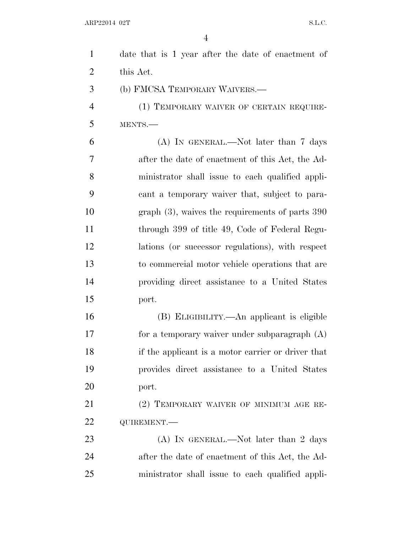| $\mathbf{1}$   | date that is 1 year after the date of enactment of |
|----------------|----------------------------------------------------|
| 2              | this Act.                                          |
| 3              | (b) FMCSA TEMPORARY WAIVERS.—                      |
| $\overline{4}$ | (1) TEMPORARY WAIVER OF CERTAIN REQUIRE-           |
| 5              | MENTS.                                             |
| 6              | $(A)$ In GENERAL.—Not later than 7 days            |
| 7              | after the date of enactment of this Act, the Ad-   |
| 8              | ministrator shall issue to each qualified appli-   |
| 9              | cant a temporary waiver that, subject to para-     |
| 10             | graph $(3)$ , waives the requirements of parts 390 |
| 11             | through 399 of title 49, Code of Federal Regu-     |
| 12             | lations (or successor regulations), with respect   |
| 13             | to commercial motor vehicle operations that are    |
| 14             | providing direct assistance to a United States     |
| 15             | port.                                              |
| 16             | (B) ELIGIBILITY.—An applicant is eligible          |
| 17             | for a temporary waiver under subparagraph $(A)$    |
| 18             | if the applicant is a motor carrier or driver that |
| 19             | provides direct assistance to a United States      |
| 20             | port.                                              |
| 21             | (2) TEMPORARY WAIVER OF MINIMUM AGE RE-            |
| 22             | QUIREMENT.-                                        |
| 23             | (A) IN GENERAL.—Not later than 2 days              |
| 24             | after the date of enactment of this Act, the Ad-   |
| 25             | ministrator shall issue to each qualified appli-   |
|                |                                                    |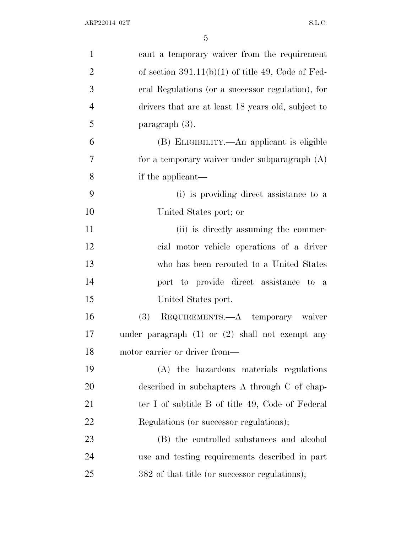| $\mathbf{1}$   | cant a temporary waiver from the requirement        |
|----------------|-----------------------------------------------------|
| $\overline{2}$ | of section $391.11(b)(1)$ of title 49, Code of Fed- |
| 3              | eral Regulations (or a successor regulation), for   |
| $\overline{4}$ | drivers that are at least 18 years old, subject to  |
| 5              | paragraph $(3)$ .                                   |
| 6              | (B) ELIGIBILITY.—An applicant is eligible           |
| 7              | for a temporary waiver under subparagraph $(A)$     |
| 8              | if the applicant—                                   |
| 9              | (i) is providing direct assistance to a             |
| 10             | United States port; or                              |
| 11             | (ii) is directly assuming the commer-               |
| 12             | cial motor vehicle operations of a driver           |
| 13             | who has been rerouted to a United States            |
| 14             | port to provide direct assistance to a              |
| 15             | United States port.                                 |
| 16             | <b>(3)</b><br>REQUIREMENTS.—A temporary waiver      |
| 17             | under paragraph $(1)$ or $(2)$ shall not exempt any |
| 18             | motor carrier or driver from—                       |
| 19             | (A) the hazardous materials regulations             |
| <b>20</b>      | described in subchapters A through C of chap-       |
| 21             | ter I of subtitle B of title 49, Code of Federal    |
| <u>22</u>      | Regulations (or successor regulations);             |
| 23             | (B) the controlled substances and alcohol           |
| 24             | use and testing requirements described in part      |
| 25             | 382 of that title (or successor regulations);       |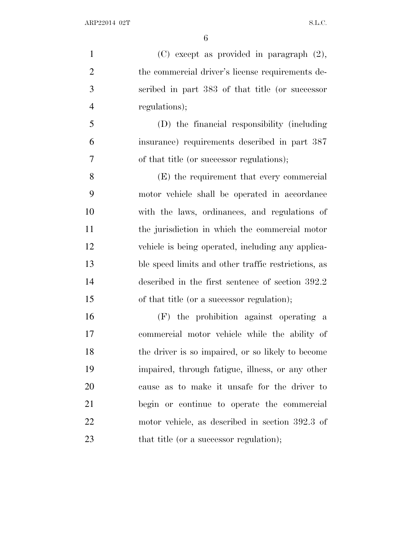(C) except as provided in paragraph (2), the commercial driver's license requirements de- scribed in part 383 of that title (or successor regulations);

 (D) the financial responsibility (including insurance) requirements described in part 387 of that title (or successor regulations);

 (E) the requirement that every commercial motor vehicle shall be operated in accordance with the laws, ordinances, and regulations of the jurisdiction in which the commercial motor vehicle is being operated, including any applica- ble speed limits and other traffic restrictions, as described in the first sentence of section 392.2 of that title (or a successor regulation);

 (F) the prohibition against operating a commercial motor vehicle while the ability of the driver is so impaired, or so likely to become impaired, through fatigue, illness, or any other cause as to make it unsafe for the driver to begin or continue to operate the commercial motor vehicle, as described in section 392.3 of 23 that title (or a successor regulation);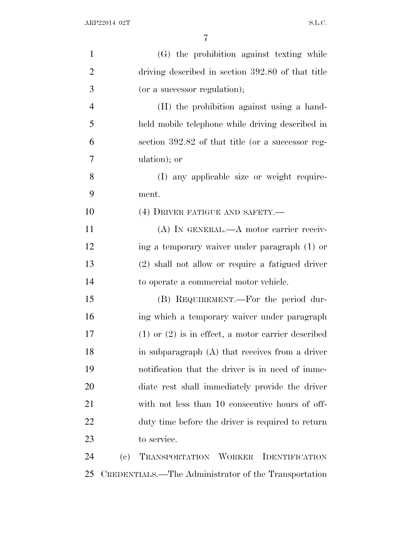| $\mathbf{1}$   |                            | (G) the prohibition against texting while              |
|----------------|----------------------------|--------------------------------------------------------|
| $\overline{2}$ |                            | driving described in section 392.80 of that title      |
| 3              |                            | (or a successor regulation);                           |
| $\overline{4}$ |                            | (H) the prohibition against using a hand-              |
| 5              |                            | held mobile telephone while driving described in       |
| 6              |                            | section 392.82 of that title (or a successor reg-      |
| 7              |                            | ulation); or                                           |
| 8              |                            | (I) any applicable size or weight require-             |
| 9              |                            | ment.                                                  |
| 10             |                            | (4) DRIVER FATIGUE AND SAFETY.—                        |
| 11             |                            | (A) IN GENERAL.—A motor carrier receiv-                |
| 12             |                            | ing a temporary waiver under paragraph (1) or          |
| 13             |                            | (2) shall not allow or require a fatigued driver       |
| 14             |                            | to operate a commercial motor vehicle.                 |
| 15             |                            | (B) REQUIREMENT.—For the period dur-                   |
| 16             |                            | ing which a temporary waiver under paragraph           |
| 17             |                            | $(1)$ or $(2)$ is in effect, a motor carrier described |
| 18             |                            | in subparagraph $(A)$ that receives from a driver      |
| 19             |                            | notification that the driver is in need of imme-       |
| 20             |                            | diate rest shall immediately provide the driver        |
| 21             |                            | with not less than 10 consecutive hours of off-        |
| 22             |                            | duty time before the driver is required to return      |
| 23             |                            | to service.                                            |
| 24             | $\left( \mathrm{e}\right)$ | TRANSPORTATION WORKER IDENTIFICATION                   |
|                |                            |                                                        |

CREDENTIALS.—The Administrator of the Transportation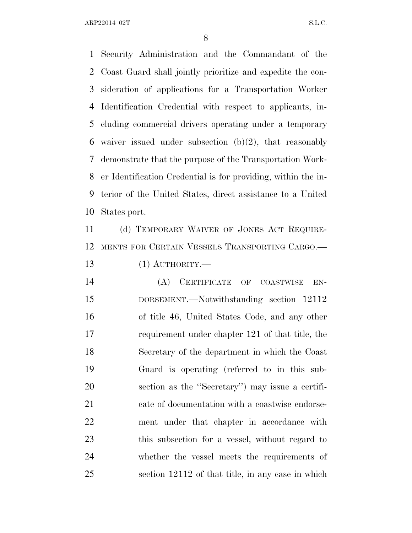ARP22014 02T S.L.C.

 Security Administration and the Commandant of the Coast Guard shall jointly prioritize and expedite the con- sideration of applications for a Transportation Worker Identification Credential with respect to applicants, in- cluding commercial drivers operating under a temporary 6 waiver issued under subsection  $(b)(2)$ , that reasonably demonstrate that the purpose of the Transportation Work- er Identification Credential is for providing, within the in- terior of the United States, direct assistance to a United States port.

 (d) TEMPORARY WAIVER OF JONES ACT REQUIRE-MENTS FOR CERTAIN VESSELS TRANSPORTING CARGO.—

(1) AUTHORITY.—

 (A) CERTIFICATE OF COASTWISE EN- DORSEMENT.—Notwithstanding section 12112 of title 46, United States Code, and any other requirement under chapter 121 of that title, the Secretary of the department in which the Coast Guard is operating (referred to in this sub- section as the ''Secretary'') may issue a certifi- cate of documentation with a coastwise endorse- ment under that chapter in accordance with this subsection for a vessel, without regard to whether the vessel meets the requirements of section 12112 of that title, in any case in which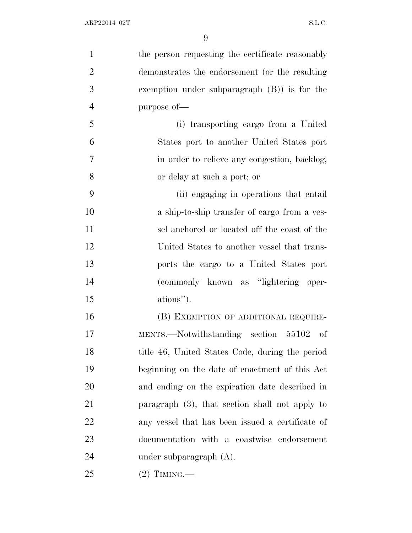| $\mathbf{1}$   | the person requesting the certificate reasonably  |
|----------------|---------------------------------------------------|
| $\overline{2}$ | demonstrates the endorsement (or the resulting    |
| 3              | exemption under subparagraph $(B)$ is for the     |
| $\overline{4}$ | purpose of-                                       |
| 5              | (i) transporting cargo from a United              |
| 6              | States port to another United States port         |
| 7              | in order to relieve any congestion, backlog,      |
| 8              | or delay at such a port; or                       |
| 9              | (ii) engaging in operations that entail           |
| 10             | a ship-to-ship transfer of cargo from a ves-      |
| 11             | sel anchored or located off the coast of the      |
| 12             | United States to another vessel that trans-       |
| 13             | ports the cargo to a United States port           |
| 14             | (commonly known as "lightering oper-              |
| 15             | ations").                                         |
| 16             | (B) EXEMPTION OF ADDITIONAL REQUIRE-              |
| 17             | MENTS.—Notwithstanding section 55102 of           |
| 18             | title 46, United States Code, during the period   |
| 19             | beginning on the date of enactment of this Act    |
| 20             | and ending on the expiration date described in    |
| 21             | paragraph $(3)$ , that section shall not apply to |
| 22             | any vessel that has been issued a certificate of  |
| 23             | documentation with a coastwise endorsement        |
| 24             | under subparagraph $(A)$ .                        |
| 25             | $(2)$ TIMING.—                                    |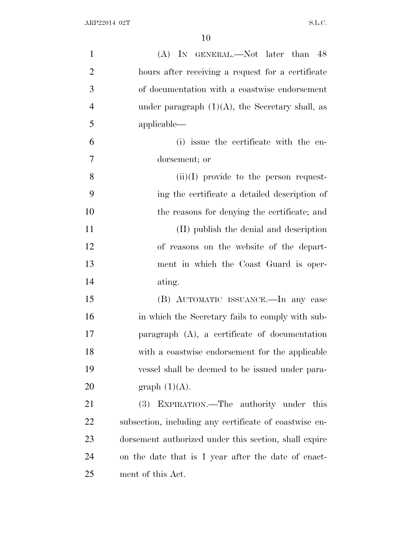| $\mathbf{1}$   | (A) IN GENERAL.—Not later than 48                      |
|----------------|--------------------------------------------------------|
| $\overline{2}$ | hours after receiving a request for a certificate      |
| 3              | of documentation with a coastwise endorsement          |
| $\overline{4}$ | under paragraph $(1)(A)$ , the Secretary shall, as     |
| 5              | applicable—                                            |
| 6              | (i) issue the certificate with the en-                 |
| $\overline{7}$ | dorsement; or                                          |
| 8              | $(ii)(I)$ provide to the person request-               |
| 9              | ing the certificate a detailed description of          |
| 10             | the reasons for denying the certificate; and           |
| 11             | (II) publish the denial and description                |
| 12             | of reasons on the website of the depart-               |
| 13             | ment in which the Coast Guard is oper-                 |
| 14             | ating.                                                 |
| 15             | (B) AUTOMATIC ISSUANCE.—In any case                    |
| 16             | in which the Secretary fails to comply with sub-       |
| 17             | paragraph $(A)$ , a certificate of documentation       |
| 18             | with a coastwise endorsement for the applicable        |
| 19             | vessel shall be deemed to be issued under para-        |
| 20             | graph $(1)(A)$ .                                       |
| 21             | (3) EXPIRATION.—The authority under this               |
| 22             | subsection, including any certificate of coastwise en- |
| 23             | dorsement authorized under this section, shall expire  |
| 24             | on the date that is 1 year after the date of enact-    |
| 25             | ment of this Act.                                      |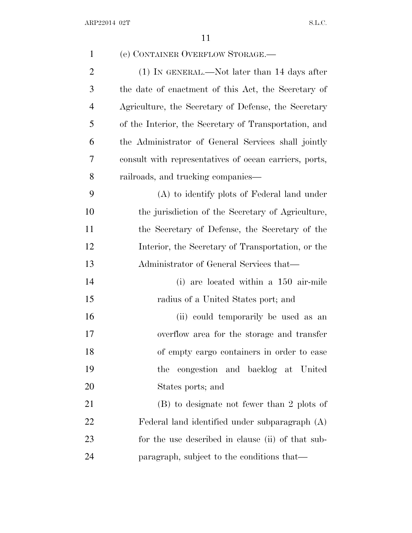| $\mathbf{1}$   | (e) CONTAINER OVERFLOW STORAGE.-                       |
|----------------|--------------------------------------------------------|
| $\overline{2}$ | $(1)$ In GENERAL.—Not later than 14 days after         |
| 3              | the date of enactment of this Act, the Secretary of    |
| 4              | Agriculture, the Secretary of Defense, the Secretary   |
| 5              | of the Interior, the Secretary of Transportation, and  |
| 6              | the Administrator of General Services shall jointly    |
| 7              | consult with representatives of ocean carriers, ports, |
| 8              | railroads, and trucking companies—                     |
| 9              | (A) to identify plots of Federal land under            |
| 10             | the jurisdiction of the Secretary of Agriculture,      |
| 11             | the Secretary of Defense, the Secretary of the         |
| 12             | Interior, the Secretary of Transportation, or the      |
| 13             | Administrator of General Services that—                |
| 14             | (i) are located within a 150 air-mile                  |
| 15             | radius of a United States port; and                    |
| 16             | (ii) could temporarily be used as an                   |
| 17             | overflow area for the storage and transfer             |
| 18             | of empty cargo containers in order to ease             |
| 19             | the congestion and backlog at United                   |
| 20             | States ports; and                                      |
| 21             | (B) to designate not fewer than 2 plots of             |
| 22             | Federal land identified under subparagraph (A)         |
| 23             | for the use described in clause (ii) of that sub-      |
| 24             | paragraph, subject to the conditions that—             |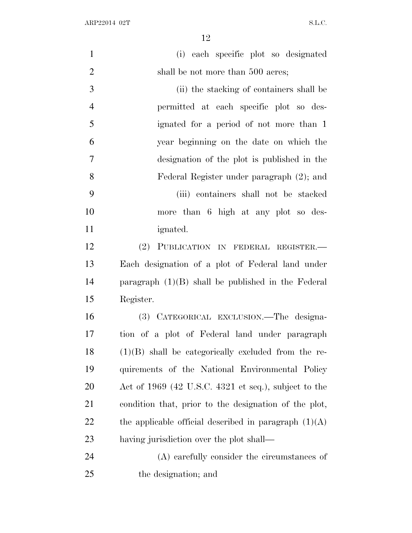$\begin{minipage}{.4\linewidth} \textbf{ARP22014 02T} \end{minipage}$ 

| $\mathbf{1}$   | (i) each specific plot so designated                    |
|----------------|---------------------------------------------------------|
| $\overline{2}$ | shall be not more than 500 acres;                       |
| 3              | (ii) the stacking of containers shall be                |
| $\overline{4}$ | permitted at each specific plot so des-                 |
| 5              | ignated for a period of not more than 1                 |
| 6              | year beginning on the date on which the                 |
| $\overline{7}$ | designation of the plot is published in the             |
| 8              | Federal Register under paragraph (2); and               |
| 9              | (iii) containers shall not be stacked                   |
| 10             | more than 6 high at any plot so des-                    |
| 11             | <i>ignated.</i>                                         |
| 12             | (2)<br>PUBLICATION IN FEDERAL REGISTER.                 |
| 13             | Each designation of a plot of Federal land under        |
| 14             | paragraph $(1)(B)$ shall be published in the Federal    |
| 15             | Register.                                               |
| 16             | (3) CATEGORICAL EXCLUSION. The designa-                 |
| 17             | tion of a plot of Federal land under paragraph          |
| 18             | $(1)(B)$ shall be categorically excluded from the re-   |
| 19             | quirements of the National Environmental Policy         |
| <b>20</b>      | Act of $1969$ (42 U.S.C. 4321 et seq.), subject to the  |
| 21             | condition that, prior to the designation of the plot,   |
| 22             | the applicable official described in paragraph $(1)(A)$ |
| 23             | having jurisdiction over the plot shall—                |
| 24             | (A) carefully consider the circumstances of             |
| 25             | the designation; and                                    |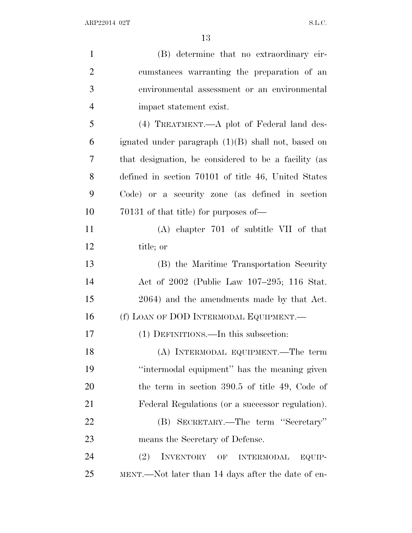| $\mathbf{1}$   | (B) determine that no extraordinary cir-             |
|----------------|------------------------------------------------------|
| $\overline{2}$ | cumstances warranting the preparation of an          |
| 3              | environmental assessment or an environmental         |
| $\overline{4}$ | impact statement exist.                              |
| 5              | (4) TREATMENT.—A plot of Federal land des-           |
| 6              | ignated under paragraph $(1)(B)$ shall not, based on |
| 7              | that designation, be considered to be a facility (as |
| 8              | defined in section 70101 of title 46, United States  |
| 9              | Code) or a security zone (as defined in section      |
| 10             | 70131 of that title) for purposes of—                |
| 11             | $(A)$ chapter 701 of subtitle VII of that            |
| 12             | title; or                                            |
| 13             | (B) the Maritime Transportation Security             |
| 14             | Act of 2002 (Public Law 107-295; 116 Stat.           |
| 15             | 2064) and the amendments made by that Act.           |
| 16             | (f) LOAN OF DOD INTERMODAL EQUIPMENT.—               |
| 17             | (1) DEFINITIONS.—In this subsection:                 |
| 18             | (A) INTERMODAL EQUIPMENT.—The term                   |
| 19             | "intermodal equipment" has the meaning given         |
| 20             | the term in section $390.5$ of title 49, Code of     |
| 21             | Federal Regulations (or a successor regulation).     |
| 22             | (B) SECRETARY.—The term "Secretary"                  |
| 23             | means the Secretary of Defense.                      |
| 24             | (2)<br>INVENTORY OF INTERMODAL<br>EQUIP-             |
| 25             | MENT.—Not later than 14 days after the date of en-   |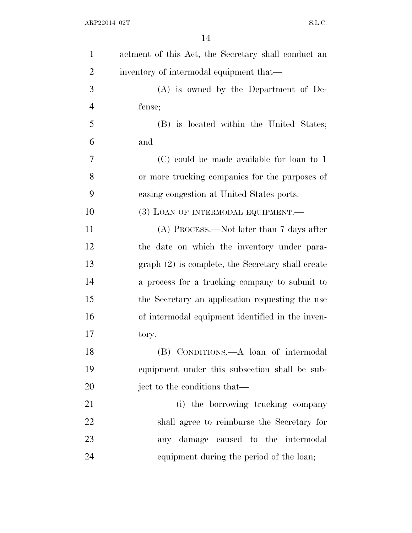| $\mathbf{1}$   | actment of this Act, the Secretary shall conduct an |
|----------------|-----------------------------------------------------|
| $\overline{2}$ | inventory of intermodal equipment that—             |
| 3              | $(A)$ is owned by the Department of De-             |
| $\overline{4}$ | fense;                                              |
| 5              | (B) is located within the United States;            |
| 6              | and                                                 |
| 7              | (C) could be made available for loan to 1           |
| 8              | or more trucking companies for the purposes of      |
| 9              | easing congestion at United States ports.           |
| 10             | (3) LOAN OF INTERMODAL EQUIPMENT.                   |
| 11             | (A) PROCESS.—Not later than 7 days after            |
| 12             | the date on which the inventory under para-         |
| 13             | graph (2) is complete, the Secretary shall create   |
| 14             | a process for a trucking company to submit to       |
| 15             | the Secretary an application requesting the use     |
| 16             | of intermodal equipment identified in the inven-    |
| 17             | tory.                                               |
| 18             | (B) CONDITIONS.—A loan of intermodal                |
| 19             | equipment under this subsection shall be sub-       |
| 20             | ject to the conditions that—                        |
| 21             | (i) the borrowing trucking company                  |
| 22             | shall agree to reimburse the Secretary for          |
| 23             | any damage caused to the intermodal                 |
| 24             | equipment during the period of the loan;            |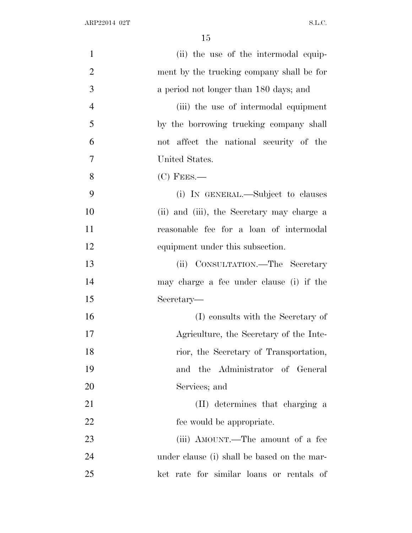| $\mathbf{1}$   | (ii) the use of the intermodal equip-       |
|----------------|---------------------------------------------|
| $\overline{2}$ | ment by the trucking company shall be for   |
| 3              | a period not longer than 180 days; and      |
| $\overline{4}$ | (iii) the use of intermodal equipment       |
| 5              | by the borrowing trucking company shall     |
| 6              | not affect the national security of the     |
| 7              | United States.                              |
| 8              | $(C)$ Fees.—                                |
| 9              | (i) IN GENERAL.—Subject to clauses          |
| 10             | (ii) and (iii), the Secretary may charge a  |
| 11             | reasonable fee for a loan of intermodal     |
| 12             | equipment under this subsection.            |
| 13             | (ii) CONSULTATION.—The Secretary            |
| 14             | may charge a fee under clause (i) if the    |
| 15             | Secretary-                                  |
| 16             | (I) consults with the Secretary of          |
| 17             | Agriculture, the Secretary of the Inte-     |
| 18             | rior, the Secretary of Transportation,      |
| 19             | and the Administrator of General            |
| 20             | Services; and                               |
| 21             | (II) determines that charging a             |
| 22             | fee would be appropriate.                   |
| 23             | (iii) AMOUNT.—The amount of a fee           |
| 24             | under clause (i) shall be based on the mar- |
| 25             | ket rate for similar loans or rentals of    |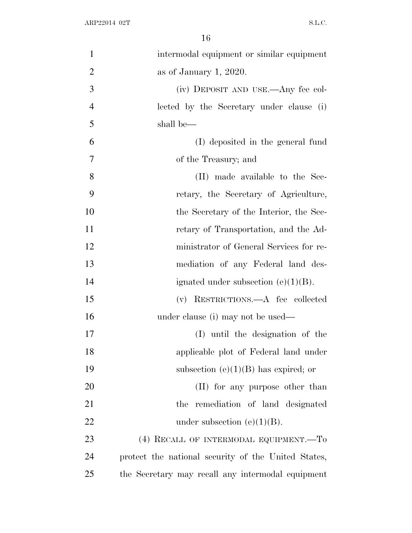| $\mathbf{1}$   | intermodal equipment or similar equipment           |
|----------------|-----------------------------------------------------|
| $\overline{2}$ | as of January 1, 2020.                              |
| 3              | (iv) DEPOSIT AND USE.—Any fee col-                  |
| $\overline{4}$ | lected by the Secretary under clause (i)            |
| 5              | shall be—                                           |
| 6              | (I) deposited in the general fund                   |
| 7              | of the Treasury; and                                |
| 8              | (II) made available to the Sec-                     |
| 9              | retary, the Secretary of Agriculture,               |
| 10             | the Secretary of the Interior, the Sec-             |
| 11             | retary of Transportation, and the Ad-               |
| 12             | ministrator of General Services for re-             |
| 13             | mediation of any Federal land des-                  |
| 14             | ignated under subsection $(e)(1)(B)$ .              |
| 15             | (v) RESTRICTIONS.—A fee collected                   |
| 16             | under clause (i) may not be used—                   |
| 17             | (I) until the designation of the                    |
| 18             | applicable plot of Federal land under               |
| 19             | subsection $(e)(1)(B)$ has expired; or              |
| 20             | (II) for any purpose other than                     |
| 21             | remediation of land designated<br>the               |
| 22             | under subsection $(e)(1)(B)$ .                      |
| 23             | (4) RECALL OF INTERMODAL EQUIPMENT.—To              |
| 24             | protect the national security of the United States, |
| 25             | the Secretary may recall any intermodal equipment   |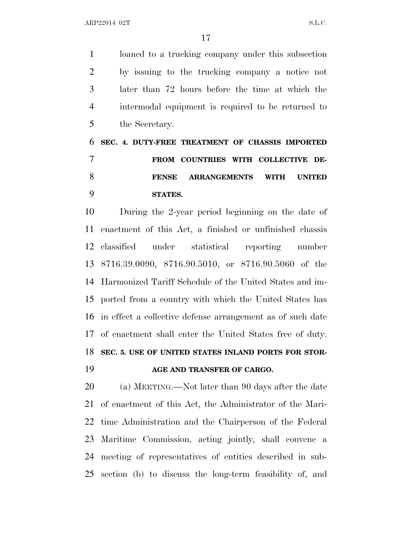ARP22014 02T S.L.C.

 loaned to a trucking company under this subsection by issuing to the trucking company a notice not later than 72 hours before the time at which the intermodal equipment is required to be returned to the Secretary.

 **SEC. 4. DUTY-FREE TREATMENT OF CHASSIS IMPORTED FROM COUNTRIES WITH COLLECTIVE DE- FENSE ARRANGEMENTS WITH UNITED STATES.**

 During the 2-year period beginning on the date of enactment of this Act, a finished or unfinished chassis classified under statistical reporting number 8716.39.0090, 8716.90.5010, or 8716.90.5060 of the Harmonized Tariff Schedule of the United States and im- ported from a country with which the United States has in effect a collective defense arrangement as of such date of enactment shall enter the United States free of duty. **SEC. 5. USE OF UNITED STATES INLAND PORTS FOR STOR-AGE AND TRANSFER OF CARGO.**

 (a) MEETING.—Not later than 90 days after the date of enactment of this Act, the Administrator of the Mari- time Administration and the Chairperson of the Federal Maritime Commission, acting jointly, shall convene a meeting of representatives of entities described in sub-section (b) to discuss the long-term feasibility of, and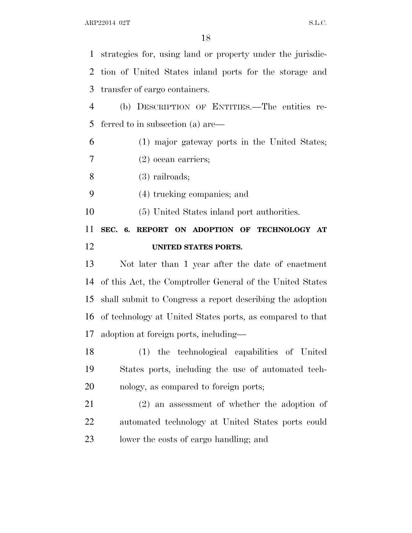strategies for, using land or property under the jurisdic- tion of United States inland ports for the storage and transfer of cargo containers.

 (b) DESCRIPTION OF ENTITIES.—The entities re-ferred to in subsection (a) are—

(1) major gateway ports in the United States;

(2) ocean carriers;

(3) railroads;

(4) trucking companies; and

(5) United States inland port authorities.

## **SEC. 6. REPORT ON ADOPTION OF TECHNOLOGY AT UNITED STATES PORTS.**

 Not later than 1 year after the date of enactment of this Act, the Comptroller General of the United States shall submit to Congress a report describing the adoption of technology at United States ports, as compared to that adoption at foreign ports, including—

 (1) the technological capabilities of United States ports, including the use of automated tech-nology, as compared to foreign ports;

 (2) an assessment of whether the adoption of automated technology at United States ports could lower the costs of cargo handling; and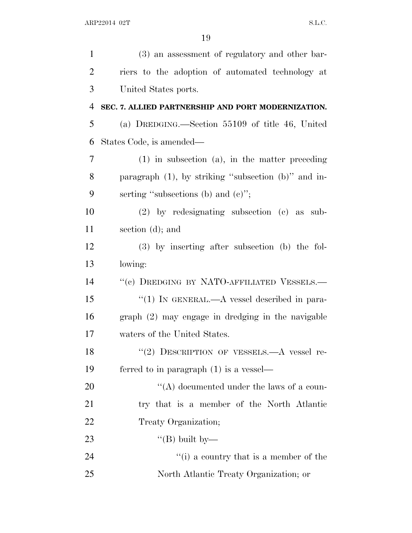| $\mathbf{1}$   | (3) an assessment of regulatory and other bar-            |
|----------------|-----------------------------------------------------------|
| $\overline{2}$ | riers to the adoption of automated technology at          |
| 3              | United States ports.                                      |
| 4              | SEC. 7. ALLIED PARTNERSHIP AND PORT MODERNIZATION.        |
| 5              | (a) DREDGING.—Section $55109$ of title 46, United         |
| 6              | States Code, is amended—                                  |
| 7              | $(1)$ in subsection $(a)$ , in the matter preceding       |
| 8              | paragraph $(1)$ , by striking "subsection $(b)$ " and in- |
| 9              | serting "subsections (b) and $(e)$ ";                     |
| 10             | $(2)$ by redesignating subsection $(e)$ as sub-           |
| 11             | section $(d)$ ; and                                       |
| 12             | $(3)$ by inserting after subsection (b) the fol-          |
| 13             | lowing:                                                   |
| 14             | "(c) DREDGING BY NATO-AFFILIATED VESSELS.-                |
| 15             | "(1) IN GENERAL.—A vessel described in para-              |
| 16             | graph (2) may engage in dredging in the navigable         |
| 17             | waters of the United States.                              |
| 18             | "(2) DESCRIPTION OF VESSELS.—A vessel re-                 |
| 19             | ferred to in paragraph $(1)$ is a vessel—                 |
| 20             | "(A) documented under the laws of a coun-                 |
| 21             | try that is a member of the North Atlantic                |
| 22             | Treaty Organization;                                      |
| 23             | "(B) built by—                                            |
| 24             | "(i) a country that is a member of the                    |
| 25             | North Atlantic Treaty Organization; or                    |